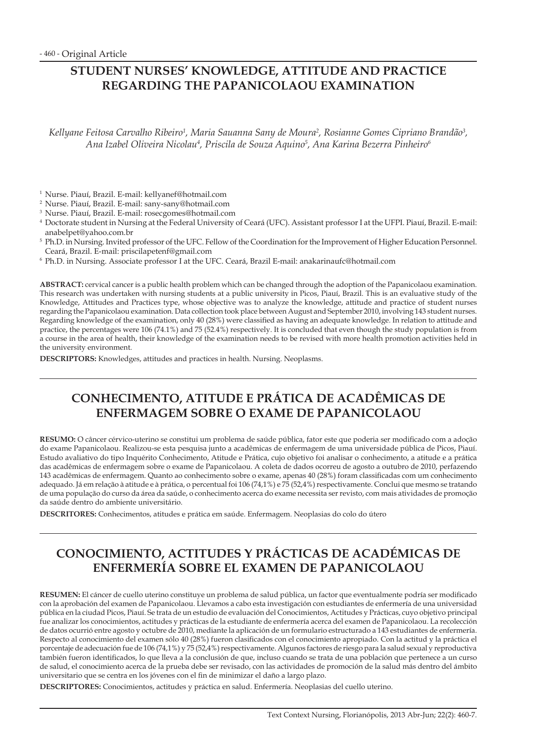# **STUDENT NURSES' KNOWLEDGE, ATTITUDE AND PRACTICE REGARDING THE PAPANICOLAOU EXAMINATION**

Kellyane Feitosa Carvalho Ribeiro<sup>1</sup>, Maria Sauanna Sany de Moura<sup>2</sup>, Rosianne Gomes Cipriano Brandão<sup>3</sup>, Ana Izabel Oliveira Nicolau<sup>4</sup>, Priscila de Souza Aquino<sup>5</sup>, Ana Karina Bezerra Pinheiro<sup>6</sup>

- 1 Nurse. Piauí, Brazil. E-mail: kellyanef@hotmail.com
- 2 Nurse. Piauí, Brazil. E-mail: sany-sany@hotmail.com
- <sup>3</sup> Nurse. Piauí, Brazil. E-mail: rosecgomes@hotmail.com
- 4 Doctorate student in Nursing at the Federal University of Ceará (UFC). Assistant professor I at the UFPI. Piauí, Brazil. E-mail: anabelpet@yahoo.com.br
- <sup>5</sup> Ph.D. in Nursing. Invited professor of the UFC. Fellow of the Coordination for the Improvement of Higher Education Personnel. Ceará, Brazil. E-mail: priscilapetenf@gmail.com
- 6 Ph.D. in Nursing. Associate professor I at the UFC. Ceará, Brazil E-mail: anakarinaufc@hotmail.com

**ABSTRACT:** cervical cancer is a public health problem which can be changed through the adoption of the Papanicolaou examination. This research was undertaken with nursing students at a public university in Picos, Piauí, Brazil. This is an evaluative study of the Knowledge, Attitudes and Practices type, whose objective was to analyze the knowledge, attitude and practice of student nurses regarding the Papanicolaou examination. Data collection took place between August and September 2010, involving 143 student nurses. Regarding knowledge of the examination, only 40 (28%) were classified as having an adequate knowledge. In relation to attitude and practice, the percentages were 106 (74.1%) and 75 (52.4%) respectively. It is concluded that even though the study population is from a course in the area of health, their knowledge of the examination needs to be revised with more health promotion activities held in the university environment.

**DESCRIPTORS:** Knowledges, attitudes and practices in health. Nursing. Neoplasms.

## **CONHECIMENTO, ATITUDE E PRÁTICA DE ACADÊMICAS DE ENFERMAGEM SOBRE O EXAME DE PAPANICOLAOU**

**RESUMO:** O câncer cérvico-uterino se constitui um problema de saúde pública, fator este que poderia ser modificado com a adoção do exame Papanicolaou. Realizou-se esta pesquisa junto a acadêmicas de enfermagem de uma universidade pública de Picos, Piauí. Estudo avaliativo do tipo Inquérito Conhecimento, Atitude e Prática, cujo objetivo foi analisar o conhecimento, a atitude e a prática das acadêmicas de enfermagem sobre o exame de Papanicolaou. A coleta de dados ocorreu de agosto a outubro de 2010, perfazendo 143 acadêmicas de enfermagem. Quanto ao conhecimento sobre o exame, apenas 40 (28%) foram classificadas com um conhecimento adequado. Já em relação à atitude e à prática, o percentual foi 106 (74,1%) e 75 (52,4%) respectivamente. Conclui que mesmo se tratando de uma população do curso da área da saúde, o conhecimento acerca do exame necessita ser revisto, com mais atividades de promoção da saúde dentro do ambiente universitário.

**DESCRITORES:** Conhecimentos, atitudes e prática em saúde. Enfermagem. Neoplasias do colo do útero

# **CONOCIMIENTO, ACTITUDES Y PRÁCTICAS DE ACADÉMICAS DE ENFERMERÍA SOBRE EL EXAMEN DE PAPANICOLAOU**

**RESUMEN:** El cáncer de cuello uterino constituye un problema de salud pública, un factor que eventualmente podría ser modificado con la aprobación del examen de Papanicolaou. Llevamos a cabo esta investigación con estudiantes de enfermería de una universidad pública en la ciudad Picos, Piauí. Se trata de un estudio de evaluación del Conocimientos, Actitudes y Prácticas, cuyo objetivo principal fue analizar los conocimientos, actitudes y prácticas de la estudiante de enfermería acerca del examen de Papanicolaou. La recolección de datos ocurrió entre agosto y octubre de 2010, mediante la aplicación de un formulario estructurado a 143 estudiantes de enfermería. Respecto al conocimiento del examen sólo 40 (28%) fueron clasificados con el conocimiento apropiado. Con la actitud y la práctica el porcentaje de adecuación fue de 106 (74,1%) y 75 (52,4%) respectivamente. Algunos factores de riesgo para la salud sexual y reproductiva también fueron identificados, lo que lleva a la conclusión de que, incluso cuando se trata de una población que pertenece a un curso de salud, el conocimiento acerca de la prueba debe ser revisado, con las actividades de promoción de la salud más dentro del ámbito universitario que se centra en los jóvenes con el fin de minimizar el daño a largo plazo.

**DESCRIPTORES:** Conocimientos, actitudes y práctica en salud. Enfermería. Neoplasias del cuello uterino.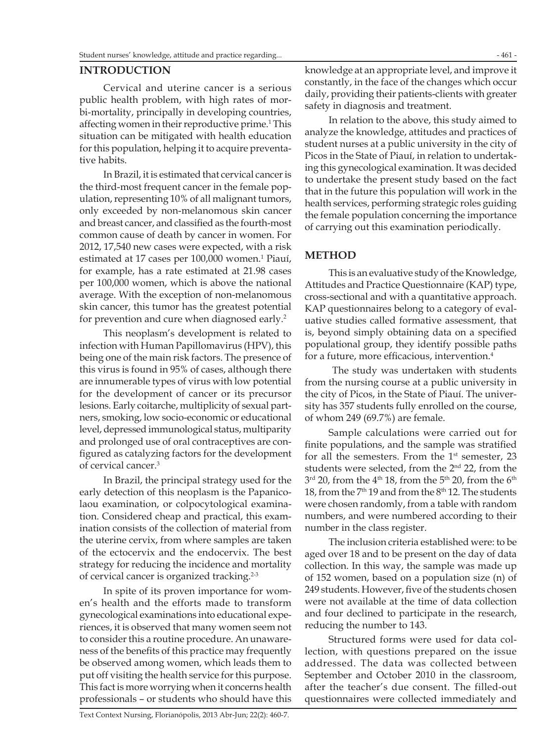#### **INTRODUCTION**

Cervical and uterine cancer is a serious public health problem, with high rates of morbi-mortality, principally in developing countries, affecting women in their reproductive prime.1 This situation can be mitigated with health education for this population, helping it to acquire preventative habits.

In Brazil, it is estimated that cervical cancer is the third-most frequent cancer in the female population, representing 10% of all malignant tumors, only exceeded by non-melanomous skin cancer and breast cancer, and classified as the fourth-most common cause of death by cancer in women. For 2012, 17,540 new cases were expected, with a risk estimated at 17 cases per 100,000 women.<sup>1</sup> Piauí, for example, has a rate estimated at 21.98 cases per 100,000 women, which is above the national average. With the exception of non-melanomous skin cancer, this tumor has the greatest potential for prevention and cure when diagnosed early.2

This neoplasm's development is related to infection with Human Papillomavirus (HPV), this being one of the main risk factors. The presence of this virus is found in 95% of cases, although there are innumerable types of virus with low potential for the development of cancer or its precursor lesions. Early coitarche, multiplicity of sexual partners, smoking, low socio-economic or educational level, depressed immunological status, multiparity and prolonged use of oral contraceptives are configured as catalyzing factors for the development of cervical cancer.3

In Brazil, the principal strategy used for the early detection of this neoplasm is the Papanicolaou examination, or colpocytological examination. Considered cheap and practical, this examination consists of the collection of material from the uterine cervix, from where samples are taken of the ectocervix and the endocervix. The best strategy for reducing the incidence and mortality of cervical cancer is organized tracking.<sup>2-3</sup>

In spite of its proven importance for women's health and the efforts made to transform gynecological examinations into educational experiences, it is observed that many women seem not to consider this a routine procedure. An unawareness of the benefits of this practice may frequently be observed among women, which leads them to put off visiting the health service for this purpose. This fact is more worrying when it concerns health professionals – or students who should have this

knowledge at an appropriate level, and improve it constantly, in the face of the changes which occur daily, providing their patients-clients with greater safety in diagnosis and treatment.

In relation to the above, this study aimed to analyze the knowledge, attitudes and practices of student nurses at a public university in the city of Picos in the State of Piauí, in relation to undertaking this gynecological examination. It was decided to undertake the present study based on the fact that in the future this population will work in the health services, performing strategic roles guiding the female population concerning the importance of carrying out this examination periodically.

#### **METHOD**

This is an evaluative study of the Knowledge, Attitudes and Practice Questionnaire (KAP) type, cross-sectional and with a quantitative approach. KAP questionnaires belong to a category of evaluative studies called formative assessment, that is, beyond simply obtaining data on a specified populational group, they identify possible paths for a future, more efficacious, intervention.<sup>4</sup>

 The study was undertaken with students from the nursing course at a public university in the city of Picos, in the State of Piauí. The university has 357 students fully enrolled on the course, of whom 249 (69.7%) are female.

Sample calculations were carried out for finite populations, and the sample was stratified for all the semesters. From the  $1<sup>st</sup>$  semester, 23 students were selected, from the 2<sup>nd</sup> 22, from the  $3<sup>rd</sup>$  20, from the 4<sup>th</sup> 18, from the 5<sup>th</sup> 20, from the 6<sup>th</sup> 18, from the  $7<sup>th</sup>$  19 and from the  $8<sup>th</sup>$  12. The students were chosen randomly, from a table with random numbers, and were numbered according to their number in the class register.

The inclusion criteria established were: to be aged over 18 and to be present on the day of data collection. In this way, the sample was made up of 152 women, based on a population size (n) of 249 students. However, five of the students chosen were not available at the time of data collection and four declined to participate in the research, reducing the number to 143.

Structured forms were used for data collection, with questions prepared on the issue addressed. The data was collected between September and October 2010 in the classroom, after the teacher's due consent. The filled-out questionnaires were collected immediately and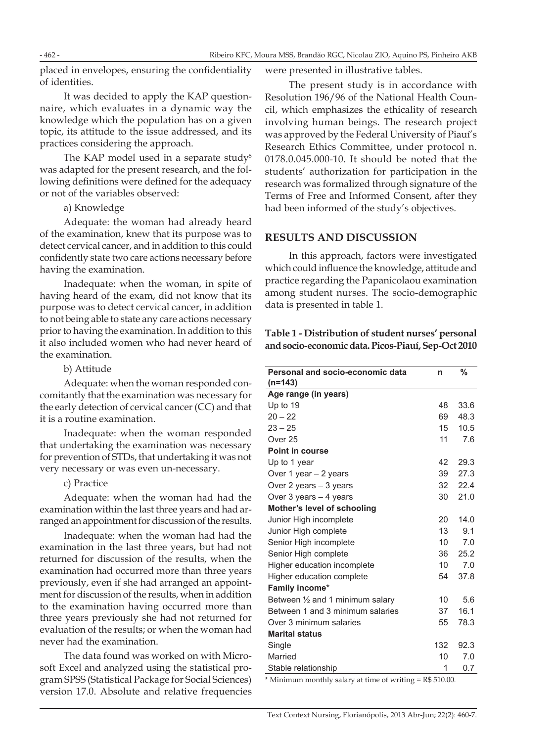placed in envelopes, ensuring the confidentiality of identities.

It was decided to apply the KAP questionnaire, which evaluates in a dynamic way the knowledge which the population has on a given topic, its attitude to the issue addressed, and its practices considering the approach.

The KAP model used in a separate study<sup>5</sup> was adapted for the present research, and the following definitions were defined for the adequacy or not of the variables observed:

a) Knowledge

Adequate: the woman had already heard of the examination, knew that its purpose was to detect cervical cancer, and in addition to this could confidently state two care actions necessary before having the examination.

Inadequate: when the woman, in spite of having heard of the exam, did not know that its purpose was to detect cervical cancer, in addition to not being able to state any care actions necessary prior to having the examination. In addition to this it also included women who had never heard of the examination.

b) Attitude

Adequate: when the woman responded concomitantly that the examination was necessary for the early detection of cervical cancer (CC) and that it is a routine examination.

Inadequate: when the woman responded that undertaking the examination was necessary for prevention of STDs, that undertaking it was not very necessary or was even un-necessary.

c) Practice

Adequate: when the woman had had the examination within the last three years and had arranged an appointment for discussion of the results.

Inadequate: when the woman had had the examination in the last three years, but had not returned for discussion of the results, when the examination had occurred more than three years previously, even if she had arranged an appointment for discussion of the results, when in addition to the examination having occurred more than three years previously she had not returned for evaluation of the results; or when the woman had never had the examination.

The data found was worked on with Microsoft Excel and analyzed using the statistical program SPSS (Statistical Package for Social Sciences) version 17.0. Absolute and relative frequencies were presented in illustrative tables.

The present study is in accordance with Resolution 196/96 of the National Health Council, which emphasizes the ethicality of research involving human beings. The research project was approved by the Federal University of Piauí's Research Ethics Committee, under protocol n. 0178.0.045.000-10. It should be noted that the students' authorization for participation in the research was formalized through signature of the Terms of Free and Informed Consent, after they had been informed of the study's objectives.

## **RESULTS AND DISCUSSION**

In this approach, factors were investigated which could influence the knowledge, attitude and practice regarding the Papanicolaou examination among student nurses. The socio-demographic data is presented in table 1.

**Table 1 - Distribution of student nurses' personal and socio-economic data. Picos-Piauí, Sep-Oct 2010** 

| Personal and socio-economic data           | n                | %    |
|--------------------------------------------|------------------|------|
| $(n=143)$                                  |                  |      |
| Age range (in years)                       |                  |      |
| Up to 19                                   | 48               | 33.6 |
| $20 - 22$                                  | 69               | 48.3 |
| $23 - 25$                                  | 15               | 10.5 |
| Over <sub>25</sub>                         | 11               | 7.6  |
| <b>Point in course</b>                     |                  |      |
| Up to 1 year                               | 42               | 29.3 |
| Over 1 year – 2 years                      | 39               | 27.3 |
| Over 2 years $-3$ years                    | 32               | 22.4 |
| Over $3$ years $-4$ years                  | 30               | 21.0 |
| Mother's level of schooling                |                  |      |
| Junior High incomplete                     | 20               | 14.0 |
| Junior High complete                       | 13 <sup>13</sup> | 9.1  |
| Senior High incomplete                     | 10               | 7.0  |
| Senior High complete                       | 36               | 25.2 |
| Higher education incomplete                | 10               | 7.0  |
| Higher education complete                  | 54               | 37.8 |
| <b>Family income*</b>                      |                  |      |
| Between $\frac{1}{2}$ and 1 minimum salary | 10               | 5.6  |
| Between 1 and 3 minimum salaries           | 37               | 16.1 |
| Over 3 minimum salaries                    | 55               | 78.3 |
| <b>Marital status</b>                      |                  |      |
| Single                                     | 132              | 92.3 |
| Married                                    | 10               | 7.0  |
| Stable relationship                        | 1                | 0.7  |

\* Minimum monthly salary at time of writing = R\$ 510.00.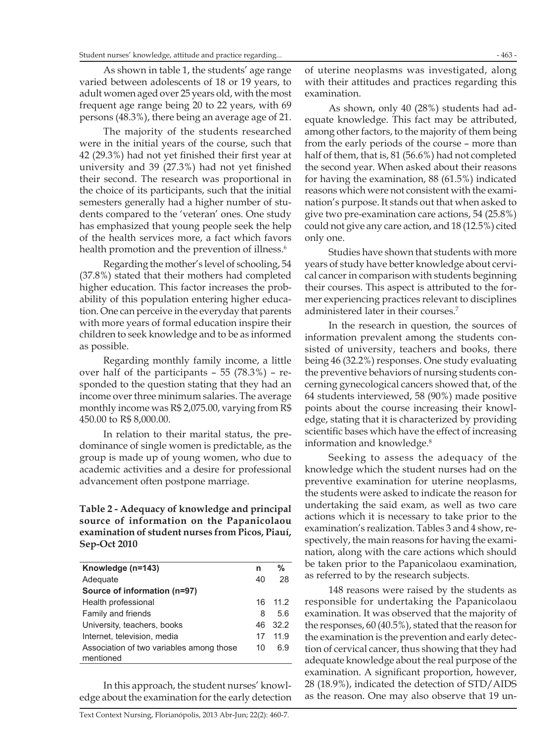As shown in table 1, the students' age range varied between adolescents of 18 or 19 years, to adult women aged over 25 years old, with the most frequent age range being 20 to 22 years, with 69 persons (48.3%), there being an average age of 21.

The majority of the students researched were in the initial years of the course, such that 42 (29.3%) had not yet finished their first year at university and 39 (27.3%) had not yet finished their second. The research was proportional in the choice of its participants, such that the initial semesters generally had a higher number of students compared to the 'veteran' ones. One study has emphasized that young people seek the help of the health services more, a fact which favors health promotion and the prevention of illness.<sup>6</sup>

Regarding the mother's level of schooling, 54 (37.8%) stated that their mothers had completed higher education. This factor increases the probability of this population entering higher education. One can perceive in the everyday that parents with more years of formal education inspire their children to seek knowledge and to be as informed as possible.

Regarding monthly family income, a little over half of the participants – 55 (78.3%) – responded to the question stating that they had an income over three minimum salaries. The average monthly income was R\$ 2,075.00, varying from R\$ 450.00 to R\$ 8,000.00.

In relation to their marital status, the predominance of single women is predictable, as the group is made up of young women, who due to academic activities and a desire for professional advancement often postpone marriage.

**Table 2 - Adequacy of knowledge and principal source of information on the Papanicolaou examination of student nurses from Picos, Piauí, Sep-Oct 2010** 

| Knowledge (n=143)                        | n  | %    |
|------------------------------------------|----|------|
| Adequate                                 | 40 | 28   |
| Source of information (n=97)             |    |      |
| Health professional                      | 16 | 11.2 |
| Family and friends                       | 8  | 5.6  |
| University, teachers, books              | 46 | 32.2 |
| Internet, television, media              | 17 | 11.9 |
| Association of two variables among those | 10 | 6.9  |
| mentioned                                |    |      |
|                                          |    |      |

In this approach, the student nurses' knowledge about the examination for the early detection

Text Context Nursing, Florianópolis, 2013 Abr-Jun; 22(2): 460-7.

of uterine neoplasms was investigated, along with their attitudes and practices regarding this examination.

As shown, only 40 (28%) students had adequate knowledge. This fact may be attributed, among other factors, to the majority of them being from the early periods of the course – more than half of them, that is, 81 (56.6%) had not completed the second year. When asked about their reasons for having the examination, 88 (61.5%) indicated reasons which were not consistent with the examination's purpose. It stands out that when asked to give two pre-examination care actions, 54 (25.8%) could not give any care action, and 18 (12.5%) cited only one.

Studies have shown that students with more years of study have better knowledge about cervical cancer in comparison with students beginning their courses. This aspect is attributed to the former experiencing practices relevant to disciplines administered later in their courses.7

In the research in question, the sources of information prevalent among the students consisted of university, teachers and books, there being 46 (32.2%) responses. One study evaluating the preventive behaviors of nursing students concerning gynecological cancers showed that, of the 64 students interviewed, 58 (90%) made positive points about the course increasing their knowledge, stating that it is characterized by providing scientific bases which have the effect of increasing information and knowledge.<sup>8</sup>

Seeking to assess the adequacy of the knowledge which the student nurses had on the preventive examination for uterine neoplasms, the students were asked to indicate the reason for undertaking the said exam, as well as two care actions which it is necessary to take prior to the examination's realization. Tables 3 and 4 show, respectively, the main reasons for having the examination, along with the care actions which should be taken prior to the Papanicolaou examination, as referred to by the research subjects.

148 reasons were raised by the students as responsible for undertaking the Papanicolaou examination. It was observed that the majority of the responses, 60 (40.5%), stated that the reason for the examination is the prevention and early detection of cervical cancer, thus showing that they had adequate knowledge about the real purpose of the examination. A significant proportion, however, 28 (18.9%), indicated the detection of STD/AIDS as the reason. One may also observe that 19 un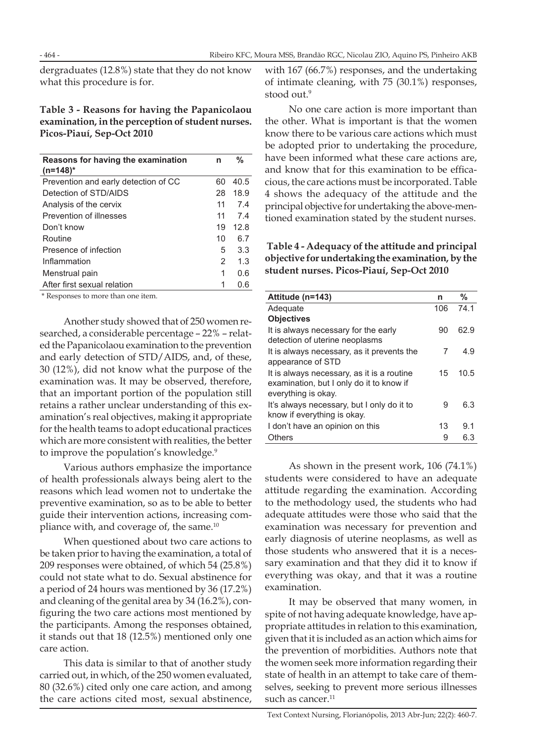dergraduates (12.8%) state that they do not know what this procedure is for.

**Table 3 - Reasons for having the Papanicolaou examination, in the perception of student nurses. Picos-Piauí, Sep-Oct 2010** 

| Reasons for having the examination<br>$(n=148)^*$ | n  | %    |
|---------------------------------------------------|----|------|
| Prevention and early detection of CC              | 60 | 40.5 |
| Detection of STD/AIDS                             | 28 | 18.9 |
| Analysis of the cervix                            | 11 | 7.4  |
| Prevention of illnesses                           | 11 | 7.4  |
| Don't know                                        | 19 | 12.8 |
| Routine                                           | 10 | 6.7  |
| Presence of infection                             | 5  | 3.3  |
| Inflammation                                      | 2  | 1.3  |
| Menstrual pain                                    | 1  | 0.6  |
| After first sexual relation                       | 1  | 0.6  |
| <b>J</b> T                                        |    |      |

\* Responses to more than one item.

Another study showed that of 250 women researched, a considerable percentage – 22% – related the Papanicolaou examination to the prevention and early detection of STD/AIDS, and, of these, 30 (12%), did not know what the purpose of the examination was. It may be observed, therefore, that an important portion of the population still retains a rather unclear understanding of this examination's real objectives, making it appropriate for the health teams to adopt educational practices which are more consistent with realities, the better to improve the population's knowledge.<sup>9</sup>

Various authors emphasize the importance of health professionals always being alert to the reasons which lead women not to undertake the preventive examination, so as to be able to better guide their intervention actions, increasing compliance with, and coverage of, the same.<sup>10</sup>

When questioned about two care actions to be taken prior to having the examination, a total of 209 responses were obtained, of which 54 (25.8%) could not state what to do. Sexual abstinence for a period of 24 hours was mentioned by 36 (17.2%) and cleaning of the genital area by 34 (16.2%), configuring the two care actions most mentioned by the participants. Among the responses obtained, it stands out that 18 (12.5%) mentioned only one care action.

This data is similar to that of another study carried out, in which, of the 250 women evaluated, 80 (32.6%) cited only one care action, and among the care actions cited most, sexual abstinence, with 167 (66.7%) responses, and the undertaking of intimate cleaning, with 75 (30.1%) responses, stood out.<sup>9</sup>

No one care action is more important than the other. What is important is that the women know there to be various care actions which must be adopted prior to undertaking the procedure, have been informed what these care actions are, and know that for this examination to be efficacious, the care actions must be incorporated. Table 4 shows the adequacy of the attitude and the principal objective for undertaking the above-mentioned examination stated by the student nurses.

 **Table 4 - Adequacy of the attitude and principal objective for undertaking the examination, by the student nurses. Picos-Piauí, Sep-Oct 2010** 

| Attitude (n=143)                                                                                              | n   | ℅    |
|---------------------------------------------------------------------------------------------------------------|-----|------|
| Adequate                                                                                                      | 106 | 74.1 |
| <b>Objectives</b>                                                                                             |     |      |
| It is always necessary for the early                                                                          | 90  | 62.9 |
| detection of uterine neoplasms                                                                                |     |      |
| It is always necessary, as it prevents the                                                                    | 7   | 4.9  |
| appearance of STD                                                                                             |     |      |
| It is always necessary, as it is a routine<br>examination, but I only do it to know if<br>everything is okay. | 15  | 10.5 |
| It's always necessary, but I only do it to                                                                    | 9   | 6.3  |
| know if everything is okay.                                                                                   |     |      |
| I don't have an opinion on this                                                                               | 13  | 9.1  |
| <b>Others</b>                                                                                                 | 9   | 6.3  |

As shown in the present work, 106 (74.1%) students were considered to have an adequate attitude regarding the examination. According to the methodology used, the students who had adequate attitudes were those who said that the examination was necessary for prevention and early diagnosis of uterine neoplasms, as well as those students who answered that it is a necessary examination and that they did it to know if everything was okay, and that it was a routine examination.

It may be observed that many women, in spite of not having adequate knowledge, have appropriate attitudes in relation to this examination, given that it is included as an action which aims for the prevention of morbidities. Authors note that the women seek more information regarding their state of health in an attempt to take care of themselves, seeking to prevent more serious illnesses such as cancer.<sup>11</sup>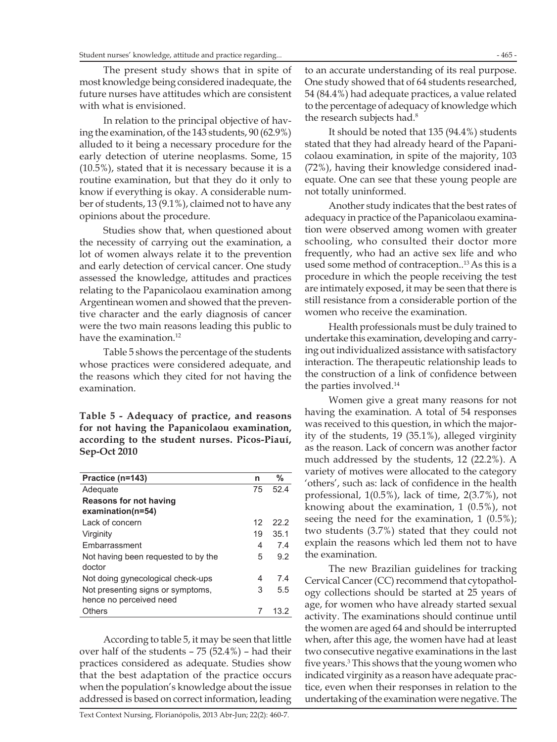The present study shows that in spite of most knowledge being considered inadequate, the future nurses have attitudes which are consistent with what is envisioned.

In relation to the principal objective of having the examination, of the 143 students, 90 (62.9%) alluded to it being a necessary procedure for the early detection of uterine neoplasms. Some, 15 (10.5%), stated that it is necessary because it is a routine examination, but that they do it only to know if everything is okay. A considerable number of students, 13 (9.1%), claimed not to have any opinions about the procedure.

Studies show that, when questioned about the necessity of carrying out the examination, a lot of women always relate it to the prevention and early detection of cervical cancer. One study assessed the knowledge, attitudes and practices relating to the Papanicolaou examination among Argentinean women and showed that the preventive character and the early diagnosis of cancer were the two main reasons leading this public to have the examination.<sup>12</sup>

Table 5 shows the percentage of the students whose practices were considered adequate, and the reasons which they cited for not having the examination.

**Table 5 - Adequacy of practice, and reasons for not having the Papanicolaou examination, according to the student nurses. Picos-Piauí, Sep-Oct 2010** 

| Practice (n=143)                                   | n  | %    |
|----------------------------------------------------|----|------|
| Adequate                                           | 75 | 52.4 |
| <b>Reasons for not having</b><br>examination(n=54) |    |      |
| Lack of concern                                    | 12 | 22.2 |
| Virginity                                          | 19 | 35.1 |
| Embarrassment                                      | 4  | 7.4  |
| Not having been requested to by the<br>doctor      | 5  | 9.2  |
| Not doing gynecological check-ups                  | 4  | 7.4  |
| Not presenting signs or symptoms,                  | 3  | 5.5  |
| hence no perceived need                            |    |      |
| Others                                             |    | 13.2 |

According to table 5, it may be seen that little over half of the students – 75 (52.4%) – had their practices considered as adequate. Studies show that the best adaptation of the practice occurs when the population's knowledge about the issue addressed is based on correct information, leading

Text Context Nursing, Florianópolis, 2013 Abr-Jun; 22(2): 460-7.

to an accurate understanding of its real purpose. One study showed that of 64 students researched, 54 (84.4%) had adequate practices, a value related to the percentage of adequacy of knowledge which the research subjects had.<sup>8</sup>

It should be noted that 135 (94.4%) students stated that they had already heard of the Papanicolaou examination, in spite of the majority, 103 (72%), having their knowledge considered inadequate. One can see that these young people are not totally uninformed.

Another study indicates that the best rates of adequacy in practice of the Papanicolaou examination were observed among women with greater schooling, who consulted their doctor more frequently, who had an active sex life and who used some method of contraception..13 As this is a procedure in which the people receiving the test are intimately exposed, it may be seen that there is still resistance from a considerable portion of the women who receive the examination.

Health professionals must be duly trained to undertake this examination, developing and carrying out individualized assistance with satisfactory interaction. The therapeutic relationship leads to the construction of a link of confidence between the parties involved.14

Women give a great many reasons for not having the examination. A total of 54 responses was received to this question, in which the majority of the students, 19 (35.1%), alleged virginity as the reason. Lack of concern was another factor much addressed by the students, 12 (22.2%). A variety of motives were allocated to the category 'others', such as: lack of confidence in the health professional, 1(0.5%), lack of time, 2(3.7%), not knowing about the examination, 1 (0.5%), not seeing the need for the examination, 1 (0.5%); two students (3.7%) stated that they could not explain the reasons which led them not to have the examination.

The new Brazilian guidelines for tracking Cervical Cancer (CC) recommend that cytopathology collections should be started at 25 years of age, for women who have already started sexual activity. The examinations should continue until the women are aged 64 and should be interrupted when, after this age, the women have had at least two consecutive negative examinations in the last five years.<sup>3</sup> This shows that the young women who indicated virginity as a reason have adequate practice, even when their responses in relation to the undertaking of the examination were negative. The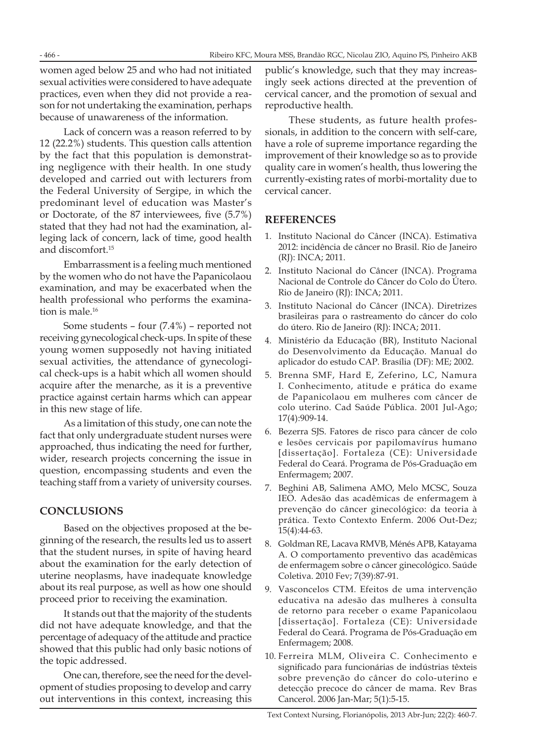women aged below 25 and who had not initiated sexual activities were considered to have adequate practices, even when they did not provide a reason for not undertaking the examination, perhaps because of unawareness of the information.

Lack of concern was a reason referred to by 12 (22.2%) students. This question calls attention by the fact that this population is demonstrating negligence with their health. In one study developed and carried out with lecturers from the Federal University of Sergipe, in which the predominant level of education was Master's or Doctorate, of the 87 interviewees, five (5.7%) stated that they had not had the examination, alleging lack of concern, lack of time, good health and discomfort.15

Embarrassment is a feeling much mentioned by the women who do not have the Papanicolaou examination, and may be exacerbated when the health professional who performs the examination is male.<sup>16</sup>

Some students – four (7.4%) – reported not receiving gynecological check-ups. In spite of these young women supposedly not having initiated sexual activities, the attendance of gynecological check-ups is a habit which all women should acquire after the menarche, as it is a preventive practice against certain harms which can appear in this new stage of life.

As a limitation of this study, one can note the fact that only undergraduate student nurses were approached, thus indicating the need for further, wider, research projects concerning the issue in question, encompassing students and even the teaching staff from a variety of university courses.

### **CONCLUSIONS**

Based on the objectives proposed at the beginning of the research, the results led us to assert that the student nurses, in spite of having heard about the examination for the early detection of uterine neoplasms, have inadequate knowledge about its real purpose, as well as how one should proceed prior to receiving the examination.

It stands out that the majority of the students did not have adequate knowledge, and that the percentage of adequacy of the attitude and practice showed that this public had only basic notions of the topic addressed.

One can, therefore, see the need for the development of studies proposing to develop and carry out interventions in this context, increasing this public's knowledge, such that they may increasingly seek actions directed at the prevention of cervical cancer, and the promotion of sexual and reproductive health.

These students, as future health professionals, in addition to the concern with self-care, have a role of supreme importance regarding the improvement of their knowledge so as to provide quality care in women's health, thus lowering the currently-existing rates of morbi-mortality due to cervical cancer.

## **REFERENCES**

- 1. Instituto Nacional do Câncer (INCA). Estimativa 2012: incidência de câncer no Brasil. Rio de Janeiro (RJ): INCA; 2011.
- 2. Instituto Nacional do Câncer (INCA). Programa Nacional de Controle do Câncer do Colo do Útero. Rio de Janeiro (RJ): INCA; 2011.
- 3. Instituto Nacional do Câncer (INCA). Diretrizes brasileiras para o rastreamento do câncer do colo do útero. Rio de Janeiro (RJ): INCA; 2011.
- 4. Ministério da Educação (BR), Instituto Nacional do Desenvolvimento da Educação. Manual do aplicador do estudo CAP. Brasília (DF): ME; 2002.
- 5. Brenna SMF, Hard E, Zeferino, LC, Namura I. Conhecimento, atitude e prática do exame de Papanicolaou em mulheres com câncer de colo uterino. Cad Saúde Pública. 2001 Jul-Ago; 17(4):909-14.
- 6. Bezerra SJS. Fatores de risco para câncer de colo e lesões cervicais por papilomavírus humano [dissertação]. Fortaleza (CE): Universidade Federal do Ceará. Programa de Pós-Graduação em Enfermagem; 2007.
- 7. Beghini AB, Salimena AMO, Melo MCSC, Souza IEO. Adesão das acadêmicas de enfermagem à prevenção do câncer ginecológico: da teoria à prática. Texto Contexto Enferm. 2006 Out-Dez; 15(4):44-63.
- 8. Goldman RE, Lacava RMVB, Ménés APB, Katayama A. O comportamento preventivo das acadêmicas de enfermagem sobre o câncer ginecológico. Saúde Coletiva. 2010 Fev; 7(39):87-91.
- 9. Vasconcelos CTM. Efeitos de uma intervenção educativa na adesão das mulheres à consulta de retorno para receber o exame Papanicolaou [dissertação]. Fortaleza (CE): Universidade Federal do Ceará. Programa de Pós-Graduação em Enfermagem; 2008.
- 10. Ferreira MLM, Oliveira C. Conhecimento e significado para funcionárias de indústrias têxteis sobre prevenção do câncer do colo-uterino e detecção precoce do câncer de mama. Rev Bras Cancerol. 2006 Jan-Mar; 5(1):5-15.